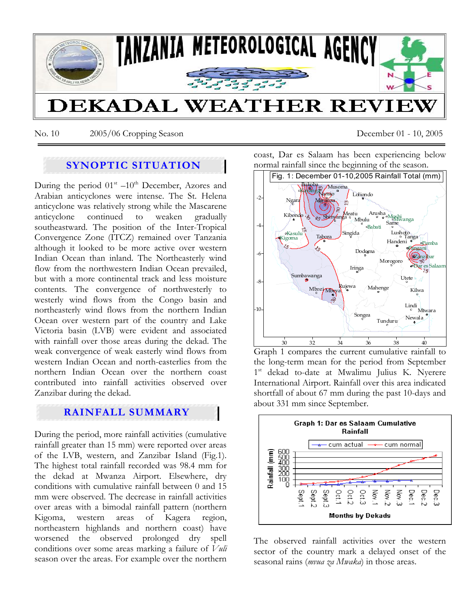

No. 10 2005/06 Cropping Season December 01 - 10, 2005

# **SYNOPTIC SITUATION**

During the period  $01<sup>st</sup> -10<sup>th</sup>$  December, Azores and Arabian anticyclones were intense. The St. Helena anticyclone was relatively strong while the Mascarene anticyclone continued to weaken gradually southeastward. The position of the Inter-Tropical Convergence Zone (ITCZ) remained over Tanzania although it looked to be more active over western Indian Ocean than inland. The Northeasterly wind flow from the northwestern Indian Ocean prevailed, but with a more continental track and less moisture contents. The convergence of northwesterly to westerly wind flows from the Congo basin and northeasterly wind flows from the northern Indian Ocean over western part of the country and Lake Victoria basin (LVB) were evident and associated with rainfall over those areas during the dekad. The weak convergence of weak easterly wind flows from western Indian Ocean and north-easterlies from the northern Indian Ocean over the northern coast contributed into rainfall activities observed over Zanzibar during the dekad.

## **RAINFALL SUMMARY**

During the period, more rainfall activities (cumulative rainfall greater than 15 mm) were reported over areas of the LVB, western, and Zanzibar Island (Fig.1). The highest total rainfall recorded was 98.4 mm for the dekad at Mwanza Airport. Elsewhere, dry conditions with cumulative rainfall between 0 and 15 mm were observed. The decrease in rainfall activities over areas with a bimodal rainfall pattern (northern Kigoma, western areas of Kagera region, northeastern highlands and northern coast) have worsened the observed prolonged dry spell conditions over some areas marking a failure of *Vuli*  season over the areas. For example over the northern coast, Dar es Salaam has been experiencing below normal rainfall since the beginning of the season.



Graph 1 compares the current cumulative rainfall to the long-term mean for the period from September 1<sup>st</sup> dekad to-date at Mwalimu Julius K. Nyerere International Airport. Rainfall over this area indicated shortfall of about 67 mm during the past 10-days and about 331 mm since September.



The observed rainfall activities over the western sector of the country mark a delayed onset of the seasonal rains (*mvua za Mwaka*) in those areas.